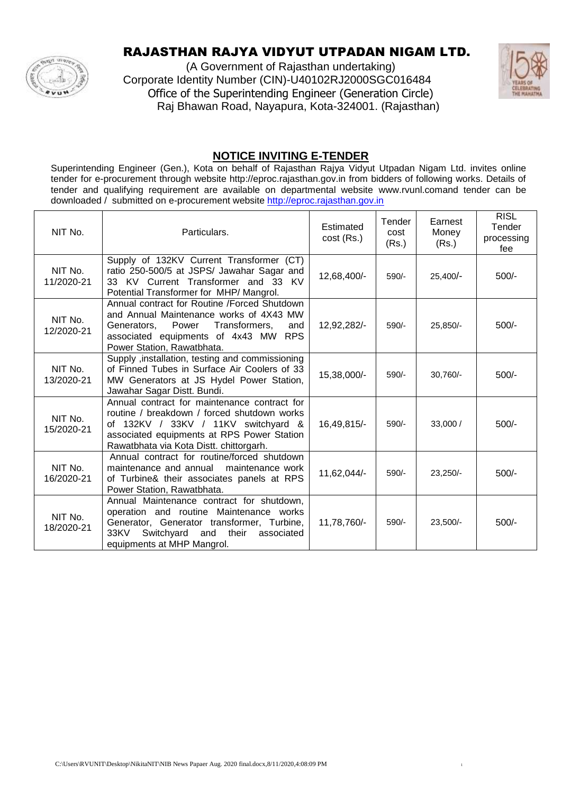

## RAJASTHAN RAJYA VIDYUT UTPADAN NIGAM LTD.

(A Government of Rajasthan undertaking) Corporate Identity Number (CIN)-U40102RJ2000SGC016484 Office of the Superintending Engineer (Generation Circle) Raj Bhawan Road, Nayapura, Kota-324001. (Rajasthan)



### **NOTICE INVITING E-TENDER**

Superintending Engineer (Gen.), Kota on behalf of Rajasthan Rajya Vidyut Utpadan Nigam Ltd. invites online tender for e-procurement through website http://eproc.rajasthan.gov.in from bidders of following works. Details of tender and qualifying requirement are available on departmental website www.rvunl.comand tender can be downloaded / submitted on e-procurement website [http://eproc.rajasthan.gov.in](http://eproc.rajasthan.gov.in/)

| NIT No.               | Particulars.                                                                                                                                                                                                                | Estimated<br>cost (Rs.) | Tender<br>cost<br>(Rs.) | Earnest<br>Money<br>(Rs.) | <b>RISL</b><br>Tender<br>processing<br>fee |
|-----------------------|-----------------------------------------------------------------------------------------------------------------------------------------------------------------------------------------------------------------------------|-------------------------|-------------------------|---------------------------|--------------------------------------------|
| NIT No.<br>11/2020-21 | Supply of 132KV Current Transformer (CT)<br>ratio 250-500/5 at JSPS/ Jawahar Sagar and<br>33 KV Current Transformer and 33 KV<br>Potential Transformer for MHP/Mangrol.                                                     | 12,68,400/-             | $590/-$                 | $25,400/-$                | $500/-$                                    |
| NIT No.<br>12/2020-21 | Annual contract for Routine / Forced Shutdown<br>and Annual Maintenance works of 4X43 MW<br>Power<br>Transformers,<br>Generators.<br>and<br>associated equipments of 4x43 MW RPS<br>Power Station, Rawatbhata.              | 12,92,282/-             | $590/-$                 | 25,850/-                  | 500/-                                      |
| NIT No.<br>13/2020-21 | Supply , installation, testing and commissioning<br>of Finned Tubes in Surface Air Coolers of 33<br>MW Generators at JS Hydel Power Station,<br>Jawahar Sagar Distt. Bundi.                                                 | 15,38,000/-             | $590/-$                 | 30,760/-                  | $500/-$                                    |
| NIT No.<br>15/2020-21 | Annual contract for maintenance contract for<br>routine / breakdown / forced shutdown works<br>of 132KV / 33KV / 11KV switchyard &<br>associated equipments at RPS Power Station<br>Rawatbhata via Kota Distt. chittorgarh. | 16,49,815/-             | 590/-                   | 33,000 /                  | $500/-$                                    |
| NIT No.<br>16/2020-21 | Annual contract for routine/forced shutdown<br>maintenance and annual<br>maintenance work<br>of Turbine& their associates panels at RPS<br>Power Station, Rawatbhata.                                                       | 11,62,044/-             | $590/-$                 | $23,250/-$                | $500/-$                                    |
| NIT No.<br>18/2020-21 | Annual Maintenance contract for shutdown,<br>operation and routine Maintenance works<br>Generator, Generator transformer, Turbine,<br>33KV<br>Switchyard<br>their<br>and<br>associated<br>equipments at MHP Mangrol.        | 11,78,760/-             | $590/-$                 | $23,500/-$                | $500/-$                                    |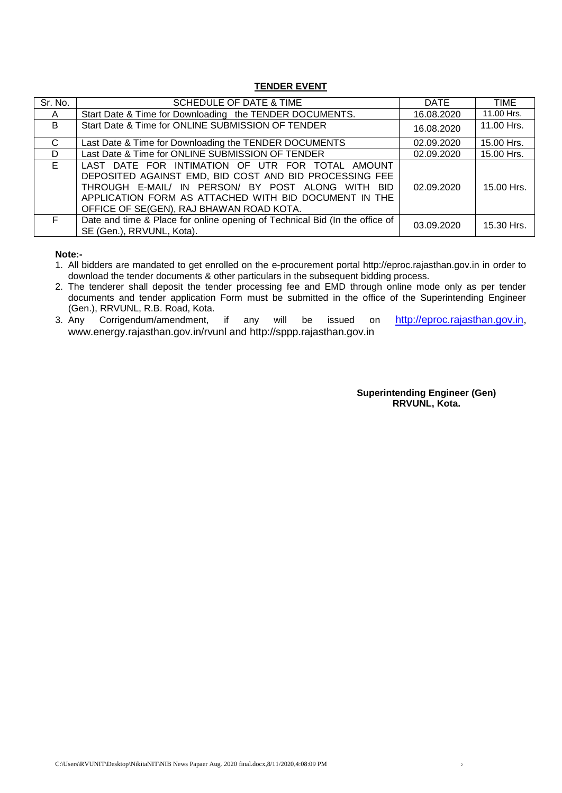#### **TENDER EVENT**

| Sr. No. | <b>SCHEDULE OF DATE &amp; TIME</b>                                                                                                                                                                                                                                   | <b>DATE</b> | <b>TIME</b> |
|---------|----------------------------------------------------------------------------------------------------------------------------------------------------------------------------------------------------------------------------------------------------------------------|-------------|-------------|
| A       | Start Date & Time for Downloading the TENDER DOCUMENTS.                                                                                                                                                                                                              | 16.08.2020  | 11.00 Hrs.  |
| B.      | Start Date & Time for ONLINE SUBMISSION OF TENDER                                                                                                                                                                                                                    | 16.08.2020  | 11.00 Hrs.  |
| C       | Last Date & Time for Downloading the TENDER DOCUMENTS                                                                                                                                                                                                                | 02.09.2020  | 15.00 Hrs.  |
| D       | Last Date & Time for ONLINE SUBMISSION OF TENDER                                                                                                                                                                                                                     | 02.09.2020  | 15.00 Hrs.  |
| E.      | LAST DATE FOR INTIMATION OF UTR FOR TOTAL AMOUNT<br>DEPOSITED AGAINST EMD, BID COST AND BID PROCESSING FEE<br>THROUGH E-MAIL/ IN PERSON/ BY POST ALONG WITH BID<br>APPLICATION FORM AS ATTACHED WITH BID DOCUMENT IN THE<br>OFFICE OF SE(GEN), RAJ BHAWAN ROAD KOTA. | 02.09.2020  | 15.00 Hrs.  |
| F.      | Date and time & Place for online opening of Technical Bid (In the office of<br>SE (Gen.), RRVUNL, Kota).                                                                                                                                                             | 03.09.2020  | 15.30 Hrs.  |

**Note:-**

1. All bidders are mandated to get enrolled on the e-procurement portal http://eproc.rajasthan.gov.in in order to download the tender documents & other particulars in the subsequent bidding process.

2. The tenderer shall deposit the tender processing fee and EMD through online mode only as per tender documents and tender application Form must be submitted in the office of the Superintending Engineer (Gen.), RRVUNL, R.B. Road, Kota.

3. Any Corrigendum/amendment, if any will be issued on [http://eproc.rajasthan.gov.in,](http://eproc.rajasthan.gov.in/) www.energy.rajasthan.gov.in/rvunl and http://sppp.rajasthan.gov.in

> **Superintending Engineer (Gen) RRVUNL, Kota.**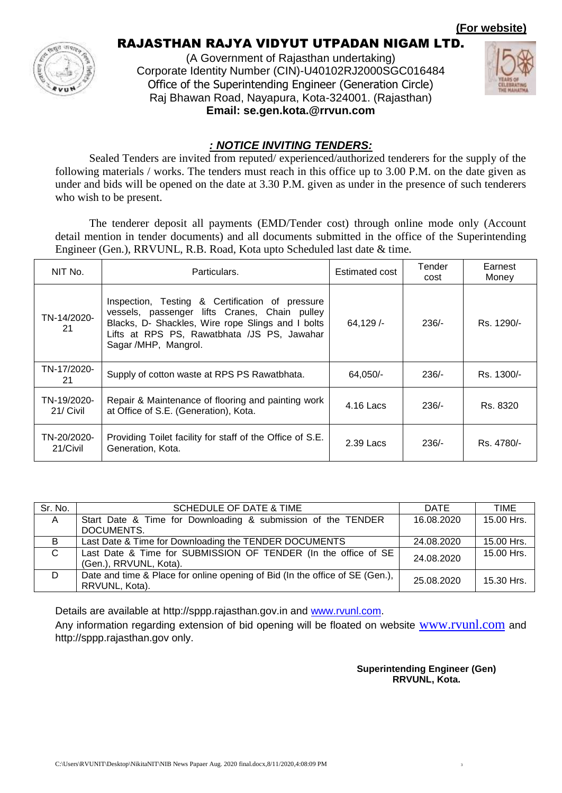**(For website)**



## RAJASTHAN RAJYA VIDYUT UTPADAN NIGAM LTD.

(A Government of Rajasthan undertaking) Corporate Identity Number (CIN)-U40102RJ2000SGC016484 Office of the Superintending Engineer (Generation Circle) Raj Bhawan Road, Nayapura, Kota-324001. (Rajasthan) **Email: se.gen.kota.@rrvun.com**



#### *: NOTICE INVITING TENDERS:*

Sealed Tenders are invited from reputed/ experienced/authorized tenderers for the supply of the following materials / works. The tenders must reach in this office up to 3.00 P.M. on the date given as under and bids will be opened on the date at 3.30 P.M. given as under in the presence of such tenderers who wish to be present.

The tenderer deposit all payments (EMD/Tender cost) through online mode only (Account detail mention in tender documents) and all documents submitted in the office of the Superintending Engineer (Gen.), RRVUNL, R.B. Road, Kota upto Scheduled last date & time.

| NIT No.                  | Particulars.                                                                                                                                                                                                                 | Estimated cost | Tender<br>cost | Earnest<br>Money |
|--------------------------|------------------------------------------------------------------------------------------------------------------------------------------------------------------------------------------------------------------------------|----------------|----------------|------------------|
| TN-14/2020-<br>21        | Inspection, Testing & Certification of pressure<br>vessels, passenger lifts Cranes, Chain pulley<br>Blacks, D- Shackles, Wire rope Slings and I bolts<br>Lifts at RPS PS, Rawatbhata /JS PS, Jawahar<br>Sagar /MHP, Mangrol. | 64,129/        | $236/-$        | Rs. 1290/-       |
| TN-17/2020-<br>21        | Supply of cotton waste at RPS PS Rawatbhata.                                                                                                                                                                                 | 64,050/-       | $236/-$        | Rs. 1300/-       |
| TN-19/2020-<br>21/ Civil | Repair & Maintenance of flooring and painting work<br>at Office of S.E. (Generation), Kota.                                                                                                                                  | 4.16 Lacs      | $236/-$        | Rs. 8320         |
| TN-20/2020-<br>21/Civil  | Providing Toilet facility for staff of the Office of S.E.<br>Generation, Kota.                                                                                                                                               | 2.39 Lacs      | $236/-$        | Rs. 4780/-       |

| Sr. No.  | SCHEDULE OF DATE & TIME                                                      | DATE       | TIME       |
|----------|------------------------------------------------------------------------------|------------|------------|
| <b>A</b> | Start Date & Time for Downloading & submission of the TENDER                 | 16.08.2020 | 15.00 Hrs. |
|          | DOCUMENTS.                                                                   |            |            |
| B        | Last Date & Time for Downloading the TENDER DOCUMENTS                        | 24.08.2020 | 15.00 Hrs. |
| C        | Last Date & Time for SUBMISSION OF TENDER (In the office of SE               | 24.08.2020 | 15.00 Hrs. |
|          | (Gen.), RRVUNL, Kota).                                                       |            |            |
| D        | Date and time & Place for online opening of Bid (In the office of SE (Gen.), | 25.08.2020 | 15.30 Hrs. |
|          | RRVUNL, Kota).                                                               |            |            |

Details are available at http://sppp.rajasthan.gov.in and [www.rvunl.com.](http://www.rvunl.com/)

Any information regarding extension of bid opening will be floated on website [www.rvunl.com](http://www.rvunl.com/) and http://sppp.rajasthan.gov only.

> **Superintending Engineer (Gen) RRVUNL, Kota.**